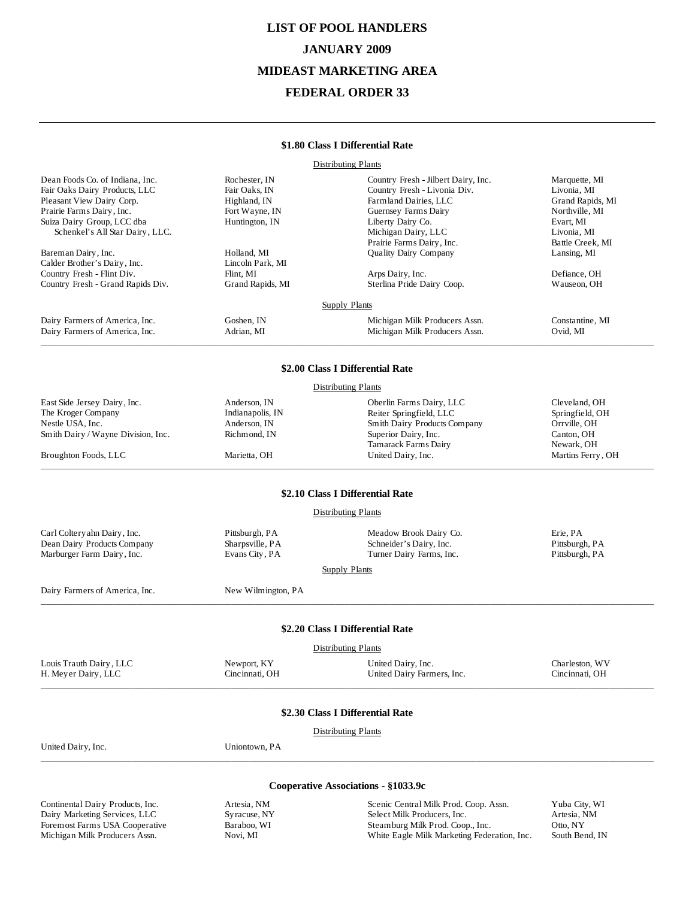# **LIST OF POOL HANDLERS JANUARY 2009 MIDEAST MARKETING AREA FEDERAL ORDER 33**

#### **\$1.80 Class I Differential Rate**

Distributing Plants

| Dean Foods Co. of Indiana, Inc.    | Rochester, IN      | Country Fresh - Jilbert Dairy, Inc.   | Marquette, MI     |
|------------------------------------|--------------------|---------------------------------------|-------------------|
| Fair Oaks Dairy Products, LLC      | Fair Oaks, IN      | Country Fresh - Livonia Div.          | Livonia, MI       |
| Pleasant View Dairy Corp.          | Highland, IN       | Farmland Dairies, LLC                 | Grand Rapids, MI  |
| Prairie Farms Dairy, Inc.          | Fort Wayne, IN     | Guernsey Farms Dairy                  | Northville, MI    |
| Suiza Dairy Group, LCC dba         | Huntington, IN     | Liberty Dairy Co.                     | Evart, MI         |
| Schenkel's All Star Dairy, LLC.    |                    | Michigan Dairy, LLC                   | Livonia, MI       |
|                                    |                    | Prairie Farms Dairy, Inc.             | Battle Creek, MI  |
| Bareman Dairy, Inc.                | Holland, MI        | Quality Dairy Company                 | Lansing, MI       |
| Calder Brother's Dairy, Inc.       | Lincoln Park, MI   |                                       |                   |
| Country Fresh - Flint Div.         | Flint, MI          | Arps Dairy, Inc.                      | Defiance, OH      |
| Country Fresh - Grand Rapids Div.  | Grand Rapids, MI   | Sterlina Pride Dairy Coop.            | Wauseon, OH       |
|                                    |                    | <b>Supply Plants</b>                  |                   |
| Dairy Farmers of America, Inc.     | Goshen, IN         | Michigan Milk Producers Assn.         | Constantine, MI   |
| Dairy Farmers of America, Inc.     | Adrian, MI         | Michigan Milk Producers Assn.         | Ovid, MI          |
|                                    |                    |                                       |                   |
|                                    |                    | \$2.00 Class I Differential Rate      |                   |
|                                    |                    | <b>Distributing Plants</b>            |                   |
| East Side Jersey Dairy, Inc.       | Anderson, IN       | Oberlin Farms Dairy, LLC              | Cleveland, OH     |
| The Kroger Company                 | Indianapolis, IN   | Reiter Springfield, LLC               | Springfield, OH   |
| Nestle USA, Inc.                   | Anderson, IN       | Smith Dairy Products Company          | Orrville, OH      |
| Smith Dairy / Wayne Division, Inc. | Richmond, IN       | Superior Dairy, Inc.                  | Canton, OH        |
|                                    |                    | Tamarack Farms Dairy                  | Newark, OH        |
| Broughton Foods, LLC               | Marietta, OH       | United Dairy, Inc.                    | Martins Ferry, OH |
|                                    |                    | \$2.10 Class I Differential Rate      |                   |
|                                    |                    | <b>Distributing Plants</b>            |                   |
| Carl Coltery ahn Dairy, Inc.       | Pittsburgh, PA     | Meadow Brook Dairy Co.                | Erie, PA          |
| Dean Dairy Products Company        | Sharpsville, PA    | Schneider's Dairy, Inc.               | Pittsburgh, PA    |
| Marburger Farm Dairy, Inc.         | Evans City, PA     | Turner Dairy Farms, Inc.              | Pittsburgh, PA    |
|                                    |                    | Supply Plants                         |                   |
| Dairy Farmers of America, Inc.     | New Wilmington, PA |                                       |                   |
|                                    |                    |                                       |                   |
|                                    |                    | \$2.20 Class I Differential Rate      |                   |
|                                    |                    | <b>Distributing Plants</b>            |                   |
| Louis Trauth Dairy, LLC            | Newport, KY        | United Dairy, Inc.                    | Charleston, WV    |
| H. Meyer Dairy, LLC                | Cincinnati, OH     | United Dairy Farmers, Inc.            | Cincinnati, OH    |
|                                    |                    |                                       |                   |
|                                    |                    | \$2.30 Class I Differential Rate      |                   |
|                                    |                    | <b>Distributing Plants</b>            |                   |
| United Dairy, Inc.                 | Uniontown, PA      |                                       |                   |
|                                    |                    | Cooperative Associations - §1033.9c   |                   |
|                                    |                    |                                       |                   |
| Continental Dairy Products, Inc.   | Artesia, NM        | Scenic Central Milk Prod. Coop. Assn. | Yuba City, WI     |
| Dairy Marketing Services, LLC      | Syracuse, NY       | Select Milk Producers, Inc.           | Artesia, NM       |

Foremost Farms USA Cooperative Baraboo, WI Michigan Milk Producers Assn. Novi, MI

Steamburg Milk Prod. Coop., Inc. Coop., Otto, NY White Eagle Milk Marketing Federation, Inc. South Bend, IN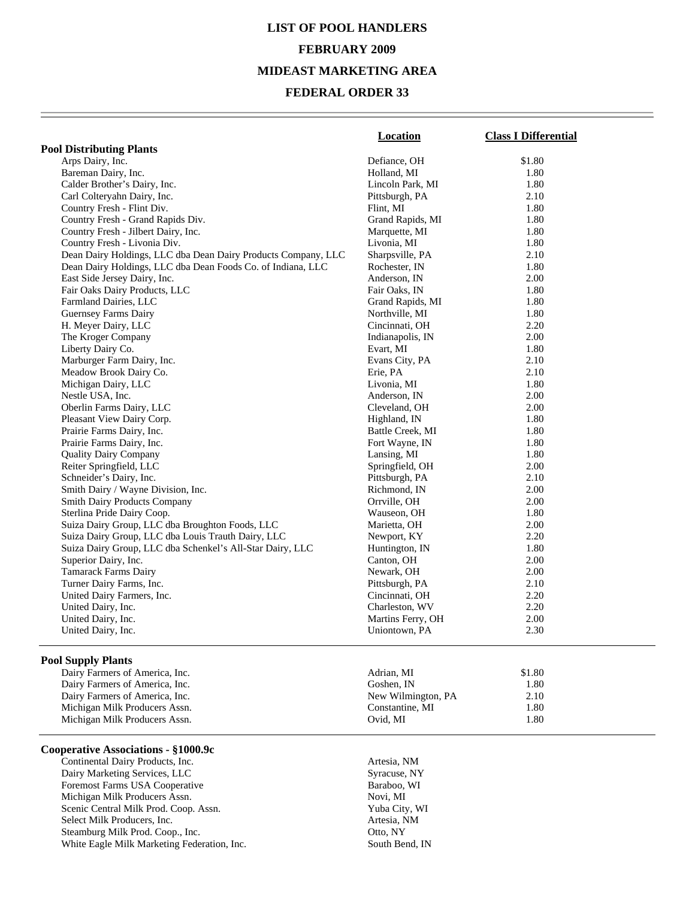# **LIST OF POOL HANDLERS FEBRUARY 2009 MIDEAST MARKETING AREA**

### **FEDERAL ORDER 33**

|                                                               | <b>Location</b>    | <b>Class I Differential</b> |
|---------------------------------------------------------------|--------------------|-----------------------------|
| <b>Pool Distributing Plants</b>                               |                    |                             |
| Arps Dairy, Inc.                                              | Defiance, OH       | \$1.80                      |
| Bareman Dairy, Inc.                                           | Holland, MI        | 1.80                        |
| Calder Brother's Dairy, Inc.                                  | Lincoln Park, MI   | 1.80                        |
| Carl Colteryahn Dairy, Inc.                                   | Pittsburgh, PA     | 2.10                        |
| Country Fresh - Flint Div.                                    | Flint, MI          | 1.80                        |
| Country Fresh - Grand Rapids Div.                             | Grand Rapids, MI   | 1.80                        |
| Country Fresh - Jilbert Dairy, Inc.                           | Marquette, MI      | 1.80                        |
| Country Fresh - Livonia Div.                                  | Livonia, MI        | 1.80                        |
| Dean Dairy Holdings, LLC dba Dean Dairy Products Company, LLC | Sharpsville, PA    | 2.10                        |
| Dean Dairy Holdings, LLC dba Dean Foods Co. of Indiana, LLC   | Rochester, IN      | 1.80                        |
| East Side Jersey Dairy, Inc.                                  | Anderson, IN       | 2.00                        |
| Fair Oaks Dairy Products, LLC                                 | Fair Oaks, IN      | 1.80                        |
| Farmland Dairies, LLC                                         | Grand Rapids, MI   | 1.80                        |
|                                                               |                    |                             |
| Guernsey Farms Dairy                                          | Northville, MI     | 1.80                        |
| H. Meyer Dairy, LLC                                           | Cincinnati, OH     | 2.20                        |
| The Kroger Company                                            | Indianapolis, IN   | 2.00                        |
| Liberty Dairy Co.                                             | Evart, MI          | 1.80                        |
| Marburger Farm Dairy, Inc.                                    | Evans City, PA     | 2.10                        |
| Meadow Brook Dairy Co.                                        | Erie, PA           | 2.10                        |
| Michigan Dairy, LLC                                           | Livonia, MI        | 1.80                        |
| Nestle USA, Inc.                                              | Anderson, IN       | 2.00                        |
| Oberlin Farms Dairy, LLC                                      | Cleveland, OH      | 2.00                        |
| Pleasant View Dairy Corp.                                     | Highland, IN       | 1.80                        |
| Prairie Farms Dairy, Inc.                                     | Battle Creek, MI   | 1.80                        |
| Prairie Farms Dairy, Inc.                                     | Fort Wayne, IN     | 1.80                        |
| <b>Quality Dairy Company</b>                                  | Lansing, MI        | 1.80                        |
| Reiter Springfield, LLC                                       | Springfield, OH    | 2.00                        |
| Schneider's Dairy, Inc.                                       | Pittsburgh, PA     | 2.10                        |
| Smith Dairy / Wayne Division, Inc.                            | Richmond, IN       | 2.00                        |
| <b>Smith Dairy Products Company</b>                           | Orrville, OH       | 2.00                        |
| Sterlina Pride Dairy Coop.                                    | Wauseon, OH        | 1.80                        |
| Suiza Dairy Group, LLC dba Broughton Foods, LLC               | Marietta, OH       | 2.00                        |
| Suiza Dairy Group, LLC dba Louis Trauth Dairy, LLC            | Newport, KY        | 2.20                        |
| Suiza Dairy Group, LLC dba Schenkel's All-Star Dairy, LLC     | Huntington, IN     | 1.80                        |
| Superior Dairy, Inc.                                          | Canton, OH         | 2.00                        |
| <b>Tamarack Farms Dairy</b>                                   | Newark, OH         | 2.00                        |
| Turner Dairy Farms, Inc.                                      | Pittsburgh, PA     | 2.10                        |
| United Dairy Farmers, Inc.                                    | Cincinnati, OH     | 2.20                        |
| United Dairy, Inc.                                            | Charleston, WV     | 2.20                        |
| United Dairy, Inc.                                            | Martins Ferry, OH  | 2.00                        |
| United Dairy, Inc.                                            | Uniontown, PA      | 2.30                        |
|                                                               |                    |                             |
| <b>Pool Supply Plants</b>                                     |                    |                             |
| Dairy Farmers of America, Inc.                                | Adrian, MI         | \$1.80                      |
| Dairy Farmers of America, Inc.                                | Goshen, IN         | 1.80                        |
| Dairy Farmers of America, Inc.                                | New Wilmington, PA | 2.10                        |
| Michigan Milk Producers Assn.                                 | Constantine, MI    | 1.80                        |
| Michigan Milk Producers Assn.                                 | Ovid, MI           | 1.80                        |

#### **Cooperative Associations - §1000.9c**

Michigan Milk Producers Assn.

Continental Dairy Products, Inc.<br>
Dairy Marketing Services, LLC<br>
Syracuse, NY Dairy Marketing Services, LLC<br>
Foremost Farms USA Cooperative<br>
Baraboo, WI Foremost Farms USA Cooperative Michigan Milk Producers Assn. Novi, MI Scenic Central Milk Prod. Coop. Assn. Yuba City, WI Select Milk Producers, Inc. Artesia, NM Steamburg Milk Prod. Coop., Inc. Otto, NY White Eagle Milk Marketing Federation, Inc. South Bend, IN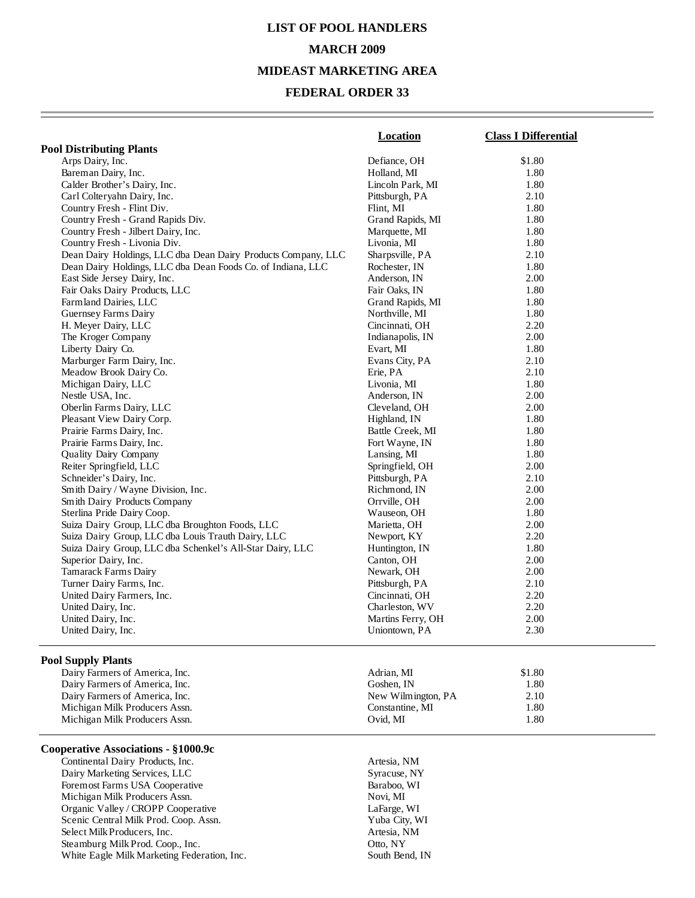# **LIST OF POOL HANDLERS MARCH 2009 MIDEAST MARKETING AREA**

### **FEDERAL ORDER 33**

|                                                               | Location          | <b>Class I Differential</b> |
|---------------------------------------------------------------|-------------------|-----------------------------|
| <b>Pool Distributing Plants</b>                               |                   |                             |
| Arps Dairy, Inc.                                              | Defiance, OH      | \$1.80                      |
| Bareman Dairy, Inc.                                           | Holland, MI       | 1.80                        |
| Calder Brother's Dairy, Inc.                                  | Lincoln Park, MI  | 1.80                        |
| Carl Colteryahn Dairy, Inc.                                   | Pittsburgh, PA    | 2.10                        |
| Country Fresh - Flint Div.                                    | Flint, MI         | 1.80                        |
| Country Fresh - Grand Rapids Div.                             | Grand Rapids, MI  | 1.80                        |
| Country Fresh - Jilbert Dairy, Inc.                           | Marquette, MI     | 1.80                        |
| Country Fresh - Livonia Div.                                  | Livonia, MI       | 1.80                        |
| Dean Dairy Holdings, LLC dba Dean Dairy Products Company, LLC | Sharpsville, PA   | 2.10                        |
| Dean Dairy Holdings, LLC dba Dean Foods Co. of Indiana, LLC   | Rochester, IN     | 1.80                        |
| East Side Jersey Dairy, Inc.                                  | Anderson, IN      | 2.00                        |
| Fair Oaks Dairy Products, LLC                                 | Fair Oaks, IN     | 1.80                        |
| Farmland Dairies, LLC                                         | Grand Rapids, MI  | 1.80                        |
| Guernsey Farms Dairy                                          | Northville, MI    | 1.80                        |
| H. Meyer Dairy, LLC                                           | Cincinnati, OH    | 2.20                        |
| The Kroger Company                                            | Indianapolis, IN  | 2.00                        |
| Liberty Dairy Co.                                             | Evart, MI         | 1.80                        |
| Marburger Farm Dairy, Inc.                                    | Evans City, PA    | 2.10                        |
| Meadow Brook Dairy Co.                                        | Erie, PA          | 2.10                        |
| Michigan Dairy, LLC                                           | Livonia, MI       | 1.80                        |
| Nestle USA, Inc.                                              | Anderson, IN      | 2.00                        |
| Oberlin Farms Dairy, LLC                                      | Cleveland, OH     | 2.00                        |
| Pleasant View Dairy Corp.                                     | Highland, IN      | 1.80                        |
| Prairie Farms Dairy, Inc.                                     | Battle Creek, MI  | 1.80                        |
| Prairie Farms Dairy, Inc.                                     | Fort Wayne, IN    | 1.80                        |
| Quality Dairy Company                                         | Lansing, MI       | 1.80                        |
| Reiter Springfield, LLC                                       | Springfield, OH   | 2.00                        |
| Schneider's Dairy, Inc.                                       | Pittsburgh, PA    | 2.10                        |
| Smith Dairy / Wayne Division, Inc.                            | Richmond, IN      | 2.00                        |
| Smith Dairy Products Company                                  | Orrville, OH      | 2.00                        |
| Sterlina Pride Dairy Coop.                                    | Wauseon, OH       | 1.80                        |
| Suiza Dairy Group, LLC dba Broughton Foods, LLC               | Marietta, OH      | 2.00                        |
| Suiza Dairy Group, LLC dba Louis Trauth Dairy, LLC            | Newport, KY       | 2.20                        |
| Suiza Dairy Group, LLC dba Schenkel's All-Star Dairy, LLC     | Huntington, IN    | 1.80                        |
| Superior Dairy, Inc.                                          | Canton, OH        | 2.00                        |
| <b>Tamarack Farms Dairy</b>                                   | Newark, OH        | 2.00                        |
| Turner Dairy Farms, Inc.                                      | Pittsburgh, PA    | 2.10                        |
| United Dairy Farmers, Inc.                                    | Cincinnati, OH    | 2.20                        |
| United Dairy, Inc.                                            | Charleston, WV    | 2.20                        |
| United Dairy, Inc.                                            | Martins Ferry, OH | 2.00                        |
| United Dairy, Inc.                                            | Uniontown, PA     | 2.30                        |
|                                                               |                   |                             |
| <b>Pool Supply Plants</b>                                     |                   |                             |
| Dairy Farmers of America, Inc.                                | Adrian, MI        | \$1.80                      |
| Dairy Farmers of America, Inc.                                | Goshen, IN        | 1.80                        |

Michigan Milk Producers Assn.

#### **Cooperative Associations - §1000.9c**

Continental Dairy Products, Inc.<br>
Dairy Marketing Services, LLC<br>
Syracuse, NY Dairy Marketing Services, LLC<br>
Foremost Farms USA Cooperative<br>
Baraboo, WI Foremost Farms USA Cooperative Michigan Milk Producers Assn. Novi, MI Organic Valley / CROPP Cooperative LaFarge, WI Scenic Central Milk Prod. Coop. Assn. Yuba City, WI<br>Select Milk Producers, Inc. Artesia, NM Select Milk Producers, Inc. Steamburg Milk Prod. Coop., Inc. Coop., Coop., 2011 01:00 NY White Eagle Milk Marketing Federation, Inc. South Bend, IN

Dairy Farmers of America, Inc.<br>
Michigan Milk Producers Assn. (1899) 1.80<br>
2.10<br>
2.10<br>
2.10<br>
2.10<br>
2.10<br>
2.10<br>
2.10<br>
2.10<br>
2.10<br>
2.10 Michigan Milk Producers Assn. 1.80<br>
Michigan Milk Producers Assn. 1.80<br>
2.80<br>
2.80<br>
2.80<br>
2.90<br>
2.90<br>
2.90<br>
2.90<br>
2.90<br>
2.90<br>
2.90<br>
2.90<br>
2.90<br>
2.91<br>
2.90<br>
2.91<br>
2.91<br>
3.91<br>
3.91<br>
3.91<br>
3.91<br>
3.91<br>
3.91<br>
3.91<br>
3.91<br>
3.91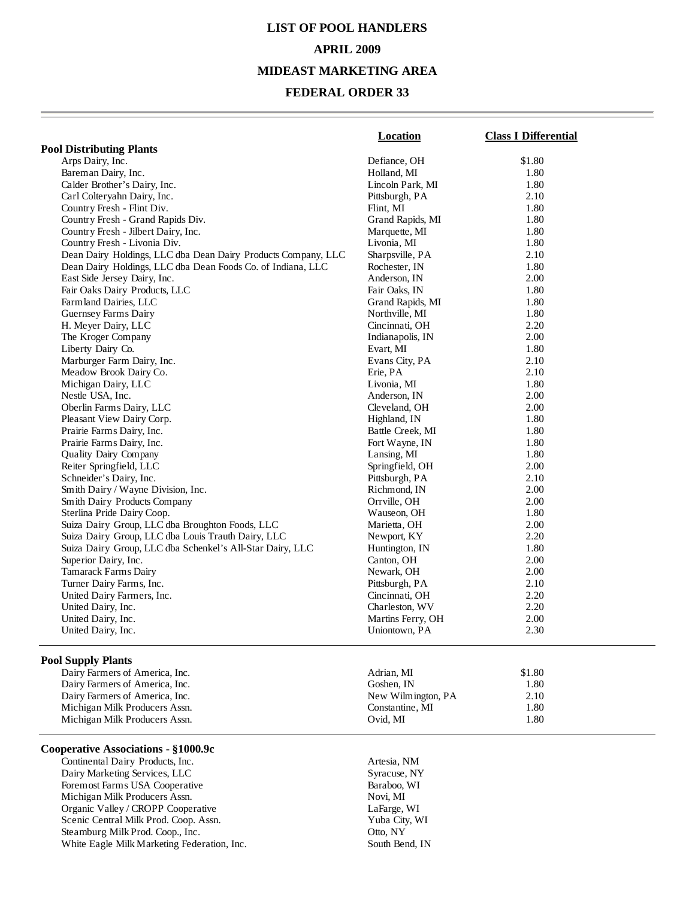# **LIST OF POOL HANDLERS APRIL 2009**

#### **MIDEAST MARKETING AREA**

## **FEDERAL ORDER 33**

|                                                               | Location          | <b>Class I Differential</b> |
|---------------------------------------------------------------|-------------------|-----------------------------|
| <b>Pool Distributing Plants</b>                               |                   |                             |
| Arps Dairy, Inc.                                              | Defiance, OH      | \$1.80                      |
| Bareman Dairy, Inc.                                           | Holland, MI       | 1.80                        |
| Calder Brother's Dairy, Inc.                                  | Lincoln Park, MI  | 1.80                        |
| Carl Colteryahn Dairy, Inc.                                   | Pittsburgh, PA    | 2.10                        |
| Country Fresh - Flint Div.                                    | Flint, MI         | 1.80                        |
| Country Fresh - Grand Rapids Div.                             | Grand Rapids, MI  | 1.80                        |
| Country Fresh - Jilbert Dairy, Inc.                           | Marquette, MI     | 1.80                        |
| Country Fresh - Livonia Div.                                  | Livonia, MI       | 1.80                        |
| Dean Dairy Holdings, LLC dba Dean Dairy Products Company, LLC | Sharpsville, PA   | 2.10                        |
| Dean Dairy Holdings, LLC dba Dean Foods Co. of Indiana, LLC   | Rochester, IN     | 1.80                        |
| East Side Jersey Dairy, Inc.                                  | Anderson, IN      | 2.00                        |
| Fair Oaks Dairy Products, LLC                                 | Fair Oaks, IN     | 1.80                        |
| Farmland Dairies, LLC                                         | Grand Rapids, MI  | 1.80                        |
| Guernsey Farms Dairy                                          | Northville, MI    | 1.80                        |
| H. Meyer Dairy, LLC                                           | Cincinnati, OH    | 2.20                        |
| The Kroger Company                                            | Indianapolis, IN  | 2.00                        |
| Liberty Dairy Co.                                             | Evart, MI         | 1.80                        |
| Marburger Farm Dairy, Inc.                                    | Evans City, PA    | 2.10                        |
| Meadow Brook Dairy Co.                                        | Erie, PA          | 2.10                        |
| Michigan Dairy, LLC                                           | Livonia, MI       | 1.80                        |
| Nestle USA, Inc.                                              | Anderson, IN      | 2.00                        |
|                                                               |                   | 2.00                        |
| Oberlin Farms Dairy, LLC                                      | Cleveland, OH     |                             |
| Pleasant View Dairy Corp.                                     | Highland, IN      | 1.80                        |
| Prairie Farms Dairy, Inc.                                     | Battle Creek, MI  | 1.80                        |
| Prairie Farms Dairy, Inc.                                     | Fort Wayne, IN    | 1.80                        |
| Quality Dairy Company                                         | Lansing, MI       | 1.80                        |
| Reiter Springfield, LLC                                       | Springfield, OH   | 2.00                        |
| Schneider's Dairy, Inc.                                       | Pittsburgh, PA    | 2.10                        |
| Smith Dairy / Wayne Division, Inc.                            | Richmond, IN      | 2.00                        |
| Smith Dairy Products Company                                  | Orrville, OH      | 2.00                        |
| Sterlina Pride Dairy Coop.                                    | Wauseon, OH       | 1.80                        |
| Suiza Dairy Group, LLC dba Broughton Foods, LLC               | Marietta, OH      | 2.00                        |
| Suiza Dairy Group, LLC dba Louis Trauth Dairy, LLC            | Newport, KY       | 2.20                        |
| Suiza Dairy Group, LLC dba Schenkel's All-Star Dairy, LLC     | Huntington, IN    | 1.80                        |
| Superior Dairy, Inc.                                          | Canton, OH        | 2.00                        |
| Tamarack Farms Dairy                                          | Newark, OH        | 2.00                        |
| Turner Dairy Farms, Inc.                                      | Pittsburgh, PA    | 2.10                        |
| United Dairy Farmers, Inc.                                    | Cincinnati, OH    | 2.20                        |
| United Dairy, Inc.                                            | Charleston, WV    | 2.20                        |
| United Dairy, Inc.                                            | Martins Ferry, OH | 2.00                        |
| United Dairy, Inc.                                            | Uniontown, PA     | 2.30                        |
| <b>Pool Supply Plants</b>                                     |                   |                             |
| Dairy Farmers of America, Inc.                                | Adrian, MI        | \$1.80                      |
| Dairy Farmers of America, Inc.                                | Goshen, IN        | 1.80                        |

Michigan Milk Producers Assn.

#### **Cooperative Associations - §1000.9c**

Continental Dairy Products, Inc.<br>
Dairy Marketing Services, LLC<br>
Syracuse, NY Dairy Marketing Services, LLC<br>
Foremost Farms USA Cooperative<br>
Baraboo, WI Foremost Farms USA Cooperative Michigan Milk Producers Assn. Novi, MI Organic Valley / CROPP Cooperative LaFarge, WI Scenic Central Milk Prod. Coop. Assn. Yuba City, Yuba City, Steamburg Milk Prod. Coop., Inc. (2002) Steamburg Milk Prod. Coop., Inc. White Eagle Milk Marketing Federation, Inc. South Bend, IN

Dairy Farmers of America, Inc.<br>
Michigan Milk Producers Assn. (1899) 1.80<br>
2.10<br>
2.10<br>
2.10<br>
2.10<br>
2.10<br>
2.10<br>
2.10<br>
2.10<br>
2.10 Michigan Milk Producers Assn. 1.80<br>
Michigan Milk Producers Assn. 1.80<br>
2.80<br>
2.80<br>
2.80<br>
2.90<br>
2.90<br>
2.90<br>
2.90<br>
2.90<br>
2.90<br>
2.90<br>
2.90<br>
2.90<br>
2.91<br>
2.90<br>
2.91<br>
2.91<br>
3.91<br>
3.91<br>
3.91<br>
3.91<br>
3.91<br>
3.91<br>
3.91<br>
3.91<br>
3.91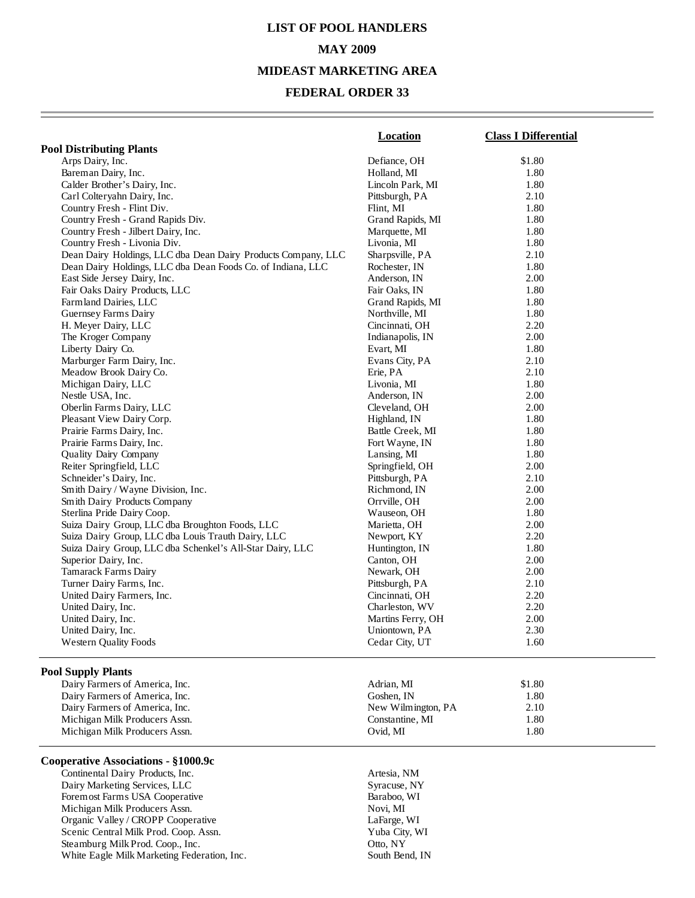# **LIST OF POOL HANDLERS MAY 2009 MIDEAST MARKETING AREA**

## **FEDERAL ORDER 33**

|                                                               | <b>Location</b>    | <b>Class I Differential</b> |
|---------------------------------------------------------------|--------------------|-----------------------------|
| <b>Pool Distributing Plants</b>                               |                    |                             |
| Arps Dairy, Inc.                                              | Defiance, OH       | \$1.80                      |
| Bareman Dairy, Inc.                                           | Holland, MI        | 1.80                        |
| Calder Brother's Dairy, Inc.                                  | Lincoln Park, MI   | 1.80                        |
| Carl Colteryahn Dairy, Inc.                                   | Pittsburgh, PA     | 2.10                        |
| Country Fresh - Flint Div.                                    | Flint, MI          | 1.80                        |
| Country Fresh - Grand Rapids Div.                             | Grand Rapids, MI   | 1.80                        |
| Country Fresh - Jilbert Dairy, Inc.                           | Marquette, MI      | 1.80                        |
| Country Fresh - Livonia Div.                                  | Livonia, MI        | 1.80                        |
| Dean Dairy Holdings, LLC dba Dean Dairy Products Company, LLC | Sharpsville, PA    | 2.10                        |
| Dean Dairy Holdings, LLC dba Dean Foods Co. of Indiana, LLC   | Rochester, IN      | 1.80                        |
| East Side Jersey Dairy, Inc.                                  | Anderson, IN       | 2.00                        |
| Fair Oaks Dairy Products, LLC                                 | Fair Oaks, IN      | 1.80                        |
| Farmland Dairies, LLC                                         | Grand Rapids, MI   | 1.80                        |
| Guernsey Farms Dairy                                          | Northville, MI     | 1.80                        |
| H. Meyer Dairy, LLC                                           | Cincinnati, OH     | 2.20                        |
| The Kroger Company                                            | Indianapolis, IN   | 2.00                        |
| Liberty Dairy Co.                                             | Evart, MI          | 1.80                        |
| Marburger Farm Dairy, Inc.                                    | Evans City, PA     | 2.10                        |
| Meadow Brook Dairy Co.                                        | Erie, PA           | 2.10                        |
| Michigan Dairy, LLC                                           | Livonia, MI        | 1.80                        |
| Nestle USA, Inc.                                              | Anderson, IN       | 2.00                        |
| Oberlin Farms Dairy, LLC                                      | Cleveland, OH      | 2.00                        |
| Pleasant View Dairy Corp.                                     | Highland, IN       | 1.80                        |
| Prairie Farms Dairy, Inc.                                     | Battle Creek, MI   | 1.80                        |
| Prairie Farms Dairy, Inc.                                     | Fort Wayne, IN     | 1.80                        |
| Quality Dairy Company                                         | Lansing, MI        | 1.80                        |
| Reiter Springfield, LLC                                       | Springfield, OH    | 2.00                        |
| Schneider's Dairy, Inc.                                       | Pittsburgh, PA     | 2.10                        |
| Smith Dairy / Wayne Division, Inc.                            | Richmond, IN       | 2.00                        |
| Smith Dairy Products Company                                  | Orrville, OH       | 2.00                        |
| Sterlina Pride Dairy Coop.                                    | Wauseon, OH        | 1.80                        |
| Suiza Dairy Group, LLC dba Broughton Foods, LLC               | Marietta, OH       | 2.00                        |
| Suiza Dairy Group, LLC dba Louis Trauth Dairy, LLC            | Newport, KY        | 2.20                        |
| Suiza Dairy Group, LLC dba Schenkel's All-Star Dairy, LLC     | Huntington, IN     | 1.80                        |
| Superior Dairy, Inc.                                          | Canton, OH         | 2.00                        |
| Tamarack Farms Dairy                                          | Newark, OH         | 2.00                        |
| Turner Dairy Farms, Inc.                                      | Pittsburgh, PA     | 2.10                        |
| United Dairy Farmers, Inc.                                    | Cincinnati, OH     | 2.20                        |
| United Dairy, Inc.                                            | Charleston, WV     | 2.20                        |
| United Dairy, Inc.                                            | Martins Ferry, OH  | 2.00                        |
| United Dairy, Inc.                                            | Uniontown, PA      | 2.30                        |
| <b>Western Quality Foods</b>                                  | Cedar City, UT     | 1.60                        |
| <b>Pool Supply Plants</b>                                     |                    |                             |
| Dairy Farmers of America, Inc.                                | Adrian, MI         | \$1.80                      |
| Dairy Farmers of America, Inc.                                | Goshen, IN         | 1.80                        |
| Dairy Farmers of America, Inc.                                | New Wilmington, PA | 2.10                        |
| Michigan Milk Producers Assn.                                 | Constantine, MI    | 1.80                        |
| Michigan Milk Producers Assn.                                 | Ovid, MI           | 1.80                        |
|                                                               |                    |                             |

## **Cooperative Associations - §1000.9c**

Continental Dairy Products, Inc.<br>
Dairy Marketing Services, LLC<br>
Syracuse, NY Dairy Marketing Services, LLC Foremost Farms USA Cooperative Baraboo, WI Michigan Milk Producers Assn. Novi, MI Organic Valley / CROPP Cooperative LaFarge, WI<br>
Scenic Central Milk Prod. Coop. Assn. Yuba City, WI Scenic Central Milk Prod. Coop. Assn. Yuba City, Yuba City, Steamburg Milk Prod. Coop., Inc. Otto, NY Steamburg Milk Prod. Coop., Inc. White Eagle Milk Marketing Federation, Inc. South Bend, IN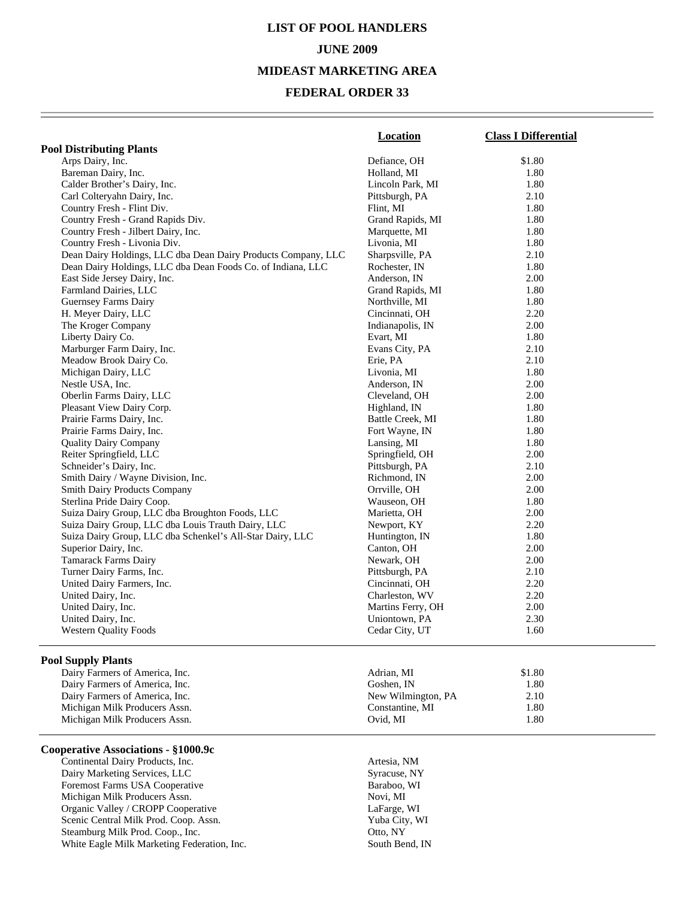## **LIST OF POOL HANDLERS JUNE 2009 MIDEAST MARKETING AREA**

#### **FEDERAL ORDER 33**

|                                                               | Location          | <b>Class I Differential</b> |
|---------------------------------------------------------------|-------------------|-----------------------------|
| <b>Pool Distributing Plants</b>                               |                   |                             |
| Arps Dairy, Inc.                                              | Defiance, OH      | \$1.80                      |
| Bareman Dairy, Inc.                                           | Holland, MI       | 1.80                        |
| Calder Brother's Dairy, Inc.                                  | Lincoln Park, MI  | 1.80                        |
| Carl Colteryahn Dairy, Inc.                                   | Pittsburgh, PA    | 2.10                        |
| Country Fresh - Flint Div.                                    | Flint, MI         | 1.80                        |
| Country Fresh - Grand Rapids Div.                             | Grand Rapids, MI  | 1.80                        |
| Country Fresh - Jilbert Dairy, Inc.                           | Marquette, MI     | 1.80                        |
| Country Fresh - Livonia Div.                                  | Livonia, MI       | 1.80                        |
| Dean Dairy Holdings, LLC dba Dean Dairy Products Company, LLC | Sharpsville, PA   | 2.10                        |
| Dean Dairy Holdings, LLC dba Dean Foods Co. of Indiana, LLC   | Rochester, IN     | 1.80                        |
| East Side Jersey Dairy, Inc.                                  | Anderson, IN      | 2.00                        |
| Farmland Dairies, LLC                                         | Grand Rapids, MI  | 1.80                        |
| Guernsey Farms Dairy                                          | Northville, MI    | 1.80                        |
| H. Meyer Dairy, LLC                                           | Cincinnati, OH    | 2.20                        |
| The Kroger Company                                            | Indianapolis, IN  | 2.00                        |
| Liberty Dairy Co.                                             | Evart, MI         | 1.80                        |
| Marburger Farm Dairy, Inc.                                    | Evans City, PA    | 2.10                        |
| Meadow Brook Dairy Co.                                        | Erie, PA          | 2.10                        |
| Michigan Dairy, LLC                                           | Livonia, MI       | 1.80                        |
| Nestle USA, Inc.                                              | Anderson, IN      | 2.00                        |
| Oberlin Farms Dairy, LLC                                      | Cleveland, OH     | 2.00                        |
| Pleasant View Dairy Corp.                                     | Highland, IN      | 1.80                        |
| Prairie Farms Dairy, Inc.                                     | Battle Creek, MI  | 1.80                        |
| Prairie Farms Dairy, Inc.                                     | Fort Wayne, IN    | 1.80                        |
| <b>Quality Dairy Company</b>                                  | Lansing, MI       | 1.80                        |
| Reiter Springfield, LLC                                       | Springfield, OH   | 2.00                        |
| Schneider's Dairy, Inc.                                       | Pittsburgh, PA    | 2.10                        |
| Smith Dairy / Wayne Division, Inc.                            | Richmond, IN      | 2.00                        |
| <b>Smith Dairy Products Company</b>                           | Orrville, OH      | 2.00                        |
| Sterlina Pride Dairy Coop.                                    | Wauseon, OH       | 1.80                        |
| Suiza Dairy Group, LLC dba Broughton Foods, LLC               | Marietta, OH      | 2.00                        |
| Suiza Dairy Group, LLC dba Louis Trauth Dairy, LLC            | Newport, KY       | 2.20                        |
| Suiza Dairy Group, LLC dba Schenkel's All-Star Dairy, LLC     | Huntington, IN    | 1.80                        |
| Superior Dairy, Inc.                                          | Canton, OH        | 2.00                        |
| <b>Tamarack Farms Dairy</b>                                   | Newark, OH        | 2.00                        |
| Turner Dairy Farms, Inc.                                      | Pittsburgh, PA    | 2.10                        |
| United Dairy Farmers, Inc.                                    | Cincinnati, OH    | 2.20                        |
| United Dairy, Inc.                                            | Charleston, WV    | 2.20                        |
| United Dairy, Inc.                                            | Martins Ferry, OH | 2.00                        |
| United Dairy, Inc.                                            | Uniontown, PA     | 2.30                        |
| <b>Western Quality Foods</b>                                  | Cedar City, UT    | 1.60                        |
|                                                               |                   |                             |
| <b>Pool Supply Plants</b>                                     |                   |                             |
| Dairy Farmers of America, Inc.                                | Adrian, MI        | \$1.80                      |

Michigan Milk Producers Assn.

#### **Cooperative Associations - §1000.9c**

Continental Dairy Products, Inc.<br>
Dairy Marketing Services, LLC<br>
Syracuse, NY Dairy Marketing Services, LLC<br>
Foremost Farms USA Cooperative<br>
Baraboo, WI Foremost Farms USA Cooperative Michigan Milk Producers Assn. Novi, MI Organic Valley / CROPP Cooperative LaFarge, WI Scenic Central Milk Prod. Coop. Assn. Steamburg Milk Prod. Coop., Inc. Otto, NY White Eagle Milk Marketing Federation, Inc. South Bend, IN

Dairy Farmers of America, Inc. (1.80) Coshen, IN and Solid Report of America, Inc. (1.80) Dairy Farmers of America, Inc. (2.10) 2.10 Dairy Farmers of America, Inc.<br>
Michigan Milk Producers Assn.<br>
1.80<br>
2.10<br>
2.10<br>
2.10<br>
2.10<br>
2.10<br>
2.10<br>
2.10<br>
2.10<br>
2.10 Michigan Milk Producers Assn. (a) 1.80 (a) 1.80 (a) 1.80 (a) 1.80 (b) 1.80 (b) 1.80 (b) 1.80 (c) 1.80 (b) 1.80 (c) 1.80 (c) 1.80 (c) 1.80 (c) 1.80 (c) 1.80 (c) 1.80 (c) 1.80 (c) 1.80 (c) 1.80 (c) 1.80 (c) 1.80 (c) 1.80 (c)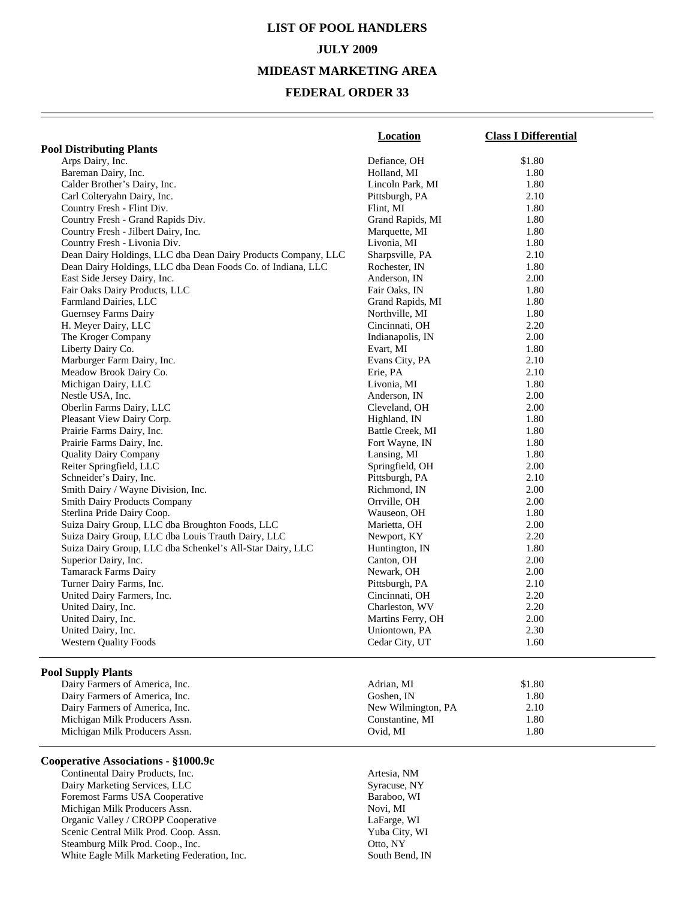# **LIST OF POOL HANDLERS JULY 2009 MIDEAST MARKETING AREA**

## **FEDERAL ORDER 33**

|                                                               | <b>Location</b>    | <b>Class I Differential</b> |
|---------------------------------------------------------------|--------------------|-----------------------------|
| <b>Pool Distributing Plants</b>                               |                    |                             |
| Arps Dairy, Inc.                                              | Defiance, OH       | \$1.80                      |
| Bareman Dairy, Inc.                                           | Holland, MI        | 1.80                        |
| Calder Brother's Dairy, Inc.                                  | Lincoln Park, MI   | 1.80                        |
| Carl Colteryahn Dairy, Inc.                                   | Pittsburgh, PA     | 2.10                        |
| Country Fresh - Flint Div.                                    | Flint, MI          | 1.80                        |
| Country Fresh - Grand Rapids Div.                             | Grand Rapids, MI   | 1.80                        |
| Country Fresh - Jilbert Dairy, Inc.                           | Marquette, MI      | 1.80                        |
| Country Fresh - Livonia Div.                                  | Livonia, MI        | 1.80                        |
| Dean Dairy Holdings, LLC dba Dean Dairy Products Company, LLC | Sharpsville, PA    | 2.10                        |
| Dean Dairy Holdings, LLC dba Dean Foods Co. of Indiana, LLC   | Rochester, IN      | 1.80                        |
| East Side Jersey Dairy, Inc.                                  | Anderson, IN       | 2.00                        |
| Fair Oaks Dairy Products, LLC                                 | Fair Oaks, IN      | 1.80                        |
| Farmland Dairies, LLC                                         | Grand Rapids, MI   | 1.80                        |
| Guernsey Farms Dairy                                          | Northville, MI     | 1.80                        |
| H. Meyer Dairy, LLC                                           | Cincinnati, OH     | 2.20                        |
| The Kroger Company                                            | Indianapolis, IN   | 2.00                        |
| Liberty Dairy Co.                                             | Evart, MI          | 1.80                        |
| Marburger Farm Dairy, Inc.                                    | Evans City, PA     | 2.10                        |
| Meadow Brook Dairy Co.                                        | Erie, PA           | 2.10                        |
| Michigan Dairy, LLC                                           | Livonia, MI        | 1.80                        |
| Nestle USA, Inc.                                              | Anderson, IN       | 2.00                        |
| Oberlin Farms Dairy, LLC                                      | Cleveland, OH      | 2.00                        |
| Pleasant View Dairy Corp.                                     | Highland, IN       | 1.80                        |
| Prairie Farms Dairy, Inc.                                     | Battle Creek, MI   | 1.80                        |
| Prairie Farms Dairy, Inc.                                     | Fort Wayne, IN     | 1.80                        |
| <b>Quality Dairy Company</b>                                  | Lansing, MI        | 1.80                        |
| Reiter Springfield, LLC                                       | Springfield, OH    | 2.00                        |
| Schneider's Dairy, Inc.                                       | Pittsburgh, PA     | 2.10                        |
| Smith Dairy / Wayne Division, Inc.                            | Richmond, IN       | 2.00                        |
| <b>Smith Dairy Products Company</b>                           | Orrville, OH       | 2.00                        |
| Sterlina Pride Dairy Coop.                                    | Wauseon, OH        | 1.80                        |
| Suiza Dairy Group, LLC dba Broughton Foods, LLC               | Marietta, OH       | 2.00                        |
| Suiza Dairy Group, LLC dba Louis Trauth Dairy, LLC            |                    | 2.20                        |
|                                                               | Newport, KY        |                             |
| Suiza Dairy Group, LLC dba Schenkel's All-Star Dairy, LLC     | Huntington, IN     | 1.80<br>2.00                |
| Superior Dairy, Inc.                                          | Canton, OH         |                             |
| <b>Tamarack Farms Dairy</b>                                   | Newark, OH         | 2.00                        |
| Turner Dairy Farms, Inc.                                      | Pittsburgh, PA     | 2.10                        |
| United Dairy Farmers, Inc.                                    | Cincinnati, OH     | 2.20                        |
| United Dairy, Inc.                                            | Charleston, WV     | 2.20                        |
| United Dairy, Inc.                                            | Martins Ferry, OH  | 2.00                        |
| United Dairy, Inc.                                            | Uniontown, PA      | 2.30                        |
| <b>Western Quality Foods</b>                                  | Cedar City, UT     | 1.60                        |
| <b>Pool Supply Plants</b>                                     |                    |                             |
| Dairy Farmers of America, Inc.                                | Adrian, MI         | \$1.80                      |
| Dairy Farmers of America, Inc.                                | Goshen, IN         | 1.80                        |
| Dairy Farmers of America, Inc.                                | New Wilmington, PA | 2.10                        |
| Michigan Milk Producers Assn.                                 | Constantine, MI    | 1.80                        |
| Michigan Milk Producers Assn.                                 | Ovid, MI           | 1.80                        |

### **Cooperative Associations - §1000.9c**

Continental Dairy Products, Inc.<br>
Dairy Marketing Services, LLC<br>
Syracuse, NY Dairy Marketing Services, LLC Foremost Farms USA Cooperative Baraboo, WI Michigan Milk Producers Assn. Novi, MI Organic Valley / CROPP Cooperative LaFarge, WI Scenic Central Milk Prod. Coop. Assn. Yuba City, WI Steamburg Milk Prod. Coop., Inc. 0010 0010, NY White Eagle Milk Marketing Federation, Inc. South Bend, IN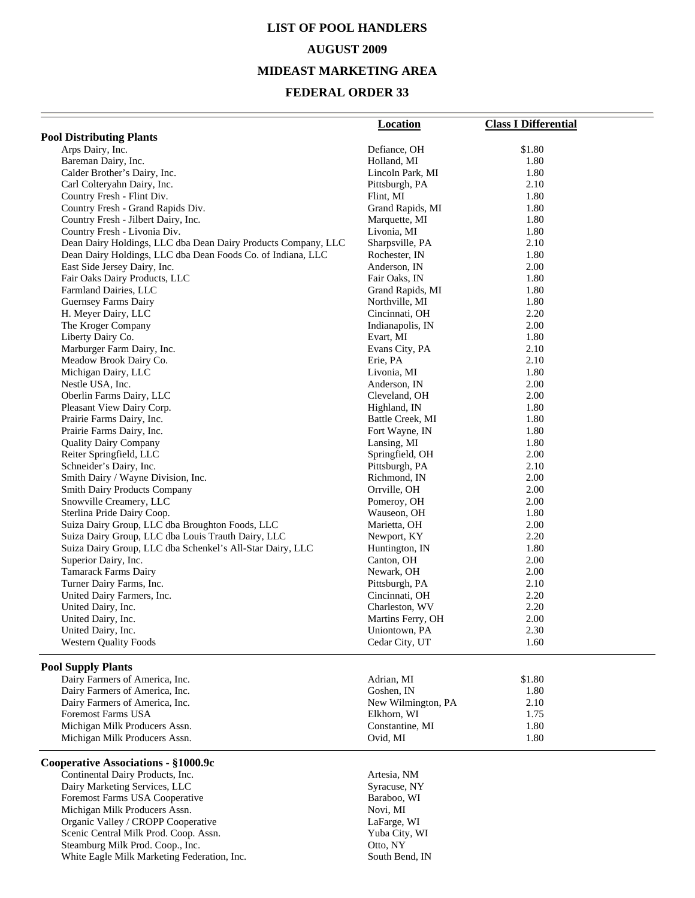## **LIST OF POOL HANDLERS**

#### **AUGUST 2009**

#### **MIDEAST MARKETING AREA**

## **FEDERAL ORDER 33**

|                                                               | <b>Location</b>                    | <b>Class I Differential</b> |
|---------------------------------------------------------------|------------------------------------|-----------------------------|
| <b>Pool Distributing Plants</b>                               |                                    |                             |
| Arps Dairy, Inc.                                              | Defiance, OH                       | \$1.80                      |
| Bareman Dairy, Inc.                                           | Holland, MI                        | 1.80                        |
| Calder Brother's Dairy, Inc.                                  | Lincoln Park, MI                   | 1.80                        |
| Carl Colteryahn Dairy, Inc.                                   | Pittsburgh, PA                     | 2.10                        |
| Country Fresh - Flint Div.                                    | Flint, MI                          | 1.80                        |
| Country Fresh - Grand Rapids Div.                             | Grand Rapids, MI                   | 1.80                        |
| Country Fresh - Jilbert Dairy, Inc.                           | Marquette, MI                      | 1.80                        |
| Country Fresh - Livonia Div.                                  | Livonia, MI                        | 1.80                        |
| Dean Dairy Holdings, LLC dba Dean Dairy Products Company, LLC | Sharpsville, PA                    | 2.10                        |
| Dean Dairy Holdings, LLC dba Dean Foods Co. of Indiana, LLC   | Rochester, IN                      | 1.80                        |
| East Side Jersey Dairy, Inc.                                  | Anderson, IN                       | 2.00                        |
| Fair Oaks Dairy Products, LLC                                 | Fair Oaks, IN                      | 1.80                        |
| Farmland Dairies, LLC                                         | Grand Rapids, MI                   | 1.80                        |
| Guernsey Farms Dairy<br>H. Meyer Dairy, LLC                   | Northville, MI<br>Cincinnati, OH   | 1.80<br>2.20                |
| The Kroger Company                                            | Indianapolis, IN                   | 2.00                        |
| Liberty Dairy Co.                                             | Evart, MI                          | 1.80                        |
| Marburger Farm Dairy, Inc.                                    | Evans City, PA                     | 2.10                        |
| Meadow Brook Dairy Co.                                        | Erie, PA                           | 2.10                        |
| Michigan Dairy, LLC                                           | Livonia, MI                        | 1.80                        |
| Nestle USA, Inc.                                              | Anderson, IN                       | 2.00                        |
| Oberlin Farms Dairy, LLC                                      | Cleveland, OH                      | 2.00                        |
| Pleasant View Dairy Corp.                                     | Highland, IN                       | 1.80                        |
| Prairie Farms Dairy, Inc.                                     | Battle Creek, MI                   | 1.80                        |
| Prairie Farms Dairy, Inc.                                     | Fort Wayne, IN                     | 1.80                        |
| <b>Quality Dairy Company</b>                                  | Lansing, MI                        | 1.80                        |
| Reiter Springfield, LLC                                       | Springfield, OH                    | 2.00                        |
| Schneider's Dairy, Inc.                                       | Pittsburgh, PA                     | 2.10                        |
| Smith Dairy / Wayne Division, Inc.                            | Richmond, IN                       | 2.00                        |
| <b>Smith Dairy Products Company</b>                           | Orrville, OH                       | 2.00                        |
| Snowville Creamery, LLC                                       | Pomeroy, OH                        | 2.00                        |
| Sterlina Pride Dairy Coop.                                    | Wauseon, OH                        | 1.80                        |
| Suiza Dairy Group, LLC dba Broughton Foods, LLC               | Marietta, OH                       | 2.00                        |
| Suiza Dairy Group, LLC dba Louis Trauth Dairy, LLC            | Newport, KY                        | 2.20                        |
| Suiza Dairy Group, LLC dba Schenkel's All-Star Dairy, LLC     | Huntington, IN                     | 1.80                        |
| Superior Dairy, Inc.                                          | Canton, OH                         | 2.00                        |
| <b>Tamarack Farms Dairy</b>                                   | Newark, OH                         | 2.00                        |
| Turner Dairy Farms, Inc.                                      | Pittsburgh, PA                     | 2.10                        |
| United Dairy Farmers, Inc.                                    | Cincinnati, OH                     | 2.20                        |
| United Dairy, Inc.                                            | Charleston, WV                     | 2.20                        |
| United Dairy, Inc.<br>United Dairy, Inc.                      | Martins Ferry, OH<br>Uniontown, PA | 2.00<br>2.30                |
| <b>Western Quality Foods</b>                                  | Cedar City, UT                     | 1.60                        |
|                                                               |                                    |                             |
| <b>Pool Supply Plants</b>                                     |                                    |                             |
| Dairy Farmers of America, Inc.                                | Adrian, MI                         | \$1.80                      |
| Dairy Farmers of America, Inc.                                | Goshen, IN                         | 1.80                        |
| Dairy Farmers of America, Inc.                                | New Wilmington, PA                 | 2.10                        |
| Foremost Farms USA                                            | Elkhorn, WI                        | 1.75                        |
| Michigan Milk Producers Assn.                                 | Constantine, MI                    | 1.80                        |
| Michigan Milk Producers Assn.                                 | Ovid, MI                           | 1.80                        |
| Cooperative Associations - §1000.9c                           |                                    |                             |
| Continental Dairy Products, Inc.                              | Artesia, NM                        |                             |
| Dairy Marketing Services, LLC                                 | Syracuse, NY                       |                             |
| Foremost Farms USA Cooperative                                | Baraboo, WI                        |                             |
| Michigan Milk Producers Assn.                                 | Novi, MI                           |                             |
| Organic Valley / CROPP Cooperative                            | LaFarge, WI                        |                             |
| Scenic Central Milk Prod. Coop. Assn.                         | Yuba City, WI                      |                             |
| Steamburg Milk Prod. Coop., Inc.                              | Otto, NY                           |                             |
| White Eagle Milk Marketing Federation, Inc.                   | South Bend, IN                     |                             |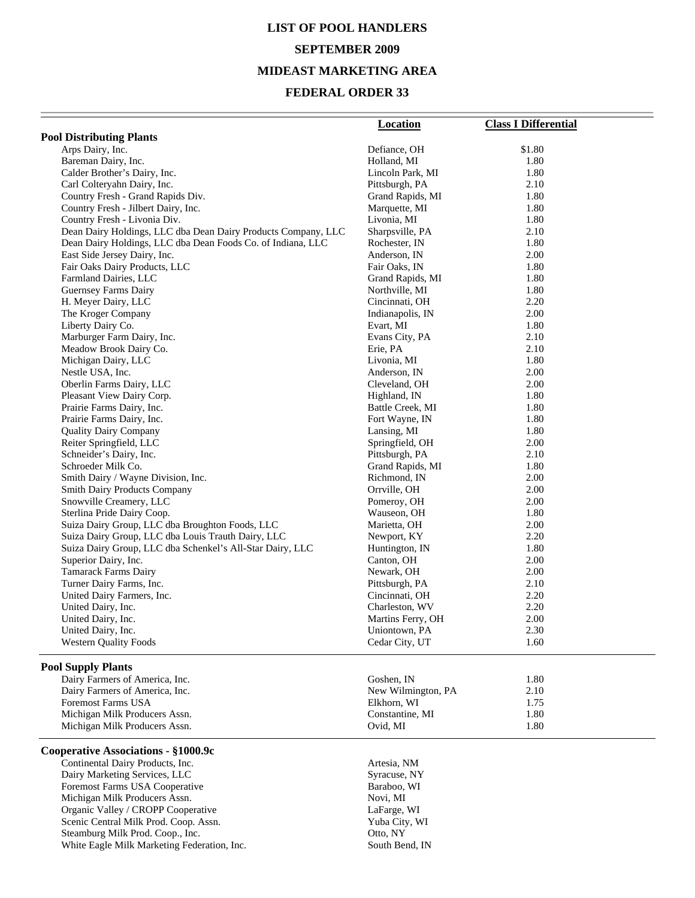# **LIST OF POOL HANDLERS SEPTEMBER 2009 MIDEAST MARKETING AREA**

## **FEDERAL ORDER 33**

|                                                               | <b>Location</b>    | <b>Class I Differential</b> |
|---------------------------------------------------------------|--------------------|-----------------------------|
| <b>Pool Distributing Plants</b>                               |                    |                             |
| Arps Dairy, Inc.                                              | Defiance, OH       | \$1.80                      |
| Bareman Dairy, Inc.                                           | Holland, MI        | 1.80                        |
| Calder Brother's Dairy, Inc.                                  | Lincoln Park, MI   | 1.80                        |
| Carl Colteryahn Dairy, Inc.                                   | Pittsburgh, PA     | 2.10                        |
| Country Fresh - Grand Rapids Div.                             | Grand Rapids, MI   | 1.80                        |
| Country Fresh - Jilbert Dairy, Inc.                           | Marquette, MI      | 1.80                        |
| Country Fresh - Livonia Div.                                  | Livonia, MI        | 1.80                        |
| Dean Dairy Holdings, LLC dba Dean Dairy Products Company, LLC | Sharpsville, PA    | 2.10                        |
| Dean Dairy Holdings, LLC dba Dean Foods Co. of Indiana, LLC   | Rochester, IN      | 1.80                        |
| East Side Jersey Dairy, Inc.                                  | Anderson, IN       | 2.00                        |
| Fair Oaks Dairy Products, LLC                                 | Fair Oaks, IN      | 1.80                        |
| Farmland Dairies, LLC                                         | Grand Rapids, MI   | 1.80                        |
| Guernsey Farms Dairy                                          | Northville, MI     | 1.80                        |
| H. Meyer Dairy, LLC                                           | Cincinnati, OH     | 2.20                        |
| The Kroger Company                                            | Indianapolis, IN   | 2.00                        |
| Liberty Dairy Co.                                             | Evart, MI          | 1.80                        |
| Marburger Farm Dairy, Inc.                                    | Evans City, PA     | 2.10                        |
| Meadow Brook Dairy Co.                                        | Erie, PA           | 2.10                        |
| Michigan Dairy, LLC                                           | Livonia, MI        | 1.80                        |
| Nestle USA, Inc.                                              | Anderson, IN       | 2.00                        |
| Oberlin Farms Dairy, LLC                                      | Cleveland, OH      | 2.00                        |
| Pleasant View Dairy Corp.                                     | Highland, IN       | 1.80                        |
| Prairie Farms Dairy, Inc.                                     | Battle Creek, MI   | 1.80                        |
| Prairie Farms Dairy, Inc.                                     | Fort Wayne, IN     | 1.80                        |
| <b>Quality Dairy Company</b>                                  | Lansing, MI        | 1.80                        |
| Reiter Springfield, LLC                                       | Springfield, OH    | 2.00                        |
| Schneider's Dairy, Inc.                                       | Pittsburgh, PA     | 2.10                        |
| Schroeder Milk Co.                                            | Grand Rapids, MI   | 1.80                        |
| Smith Dairy / Wayne Division, Inc.                            | Richmond, IN       | 2.00                        |
| <b>Smith Dairy Products Company</b>                           | Orrville, OH       | 2.00                        |
| Snowville Creamery, LLC                                       | Pomeroy, OH        | 2.00                        |
| Sterlina Pride Dairy Coop.                                    | Wauseon, OH        | 1.80                        |
| Suiza Dairy Group, LLC dba Broughton Foods, LLC               | Marietta, OH       | 2.00                        |
| Suiza Dairy Group, LLC dba Louis Trauth Dairy, LLC            | Newport, KY        | 2.20                        |
| Suiza Dairy Group, LLC dba Schenkel's All-Star Dairy, LLC     | Huntington, IN     | 1.80                        |
| Superior Dairy, Inc.                                          | Canton, OH         | 2.00                        |
| <b>Tamarack Farms Dairy</b>                                   | Newark, OH         | 2.00                        |
| Turner Dairy Farms, Inc.                                      | Pittsburgh, PA     | 2.10                        |
| United Dairy Farmers, Inc.                                    | Cincinnati, OH     | 2.20                        |
| United Dairy, Inc.                                            | Charleston, WV     | 2.20                        |
| United Dairy, Inc.                                            | Martins Ferry, OH  | 2.00                        |
| United Dairy, Inc.                                            | Uniontown, PA      | 2.30                        |
| <b>Western Quality Foods</b>                                  | Cedar City, UT     | 1.60                        |
| <b>Pool Supply Plants</b>                                     |                    |                             |
| Dairy Farmers of America, Inc.                                | Goshen, IN         | 1.80                        |
| Dairy Farmers of America, Inc.                                | New Wilmington, PA | 2.10                        |
| <b>Foremost Farms USA</b>                                     | Elkhorn, WI        | 1.75                        |
| Michigan Milk Producers Assn.                                 | Constantine, MI    | 1.80                        |
| Michigan Milk Producers Assn.                                 | Ovid, MI           | 1.80                        |
| Cooperative Associations - §1000.9c                           |                    |                             |
| Continental Dairy Products, Inc.                              | Artesia, NM        |                             |
| Dairy Marketing Services, LLC                                 | Syracuse, NY       |                             |
| Foremost Farms USA Cooperative                                | Baraboo, WI        |                             |
| Michigan Milk Producers Assn.                                 | Novi, MI           |                             |
| Organic Valley / CROPP Cooperative                            | LaFarge, WI        |                             |
| Scenic Central Milk Prod. Coop. Assn.                         | Yuba City, WI      |                             |

Scenic Central Milk Prod. Coop. Assn. Yuba City, Steamburg Milk Prod. Coop., Inc. 0tto, NY Steamburg Milk Prod. Coop., Inc. 6. The Coop of the Coop of Coop. The Coop of Coop of Coop of Coop. The Coop of Coop of Coop of Coop of Coop of Coop of Coop of Coop of Coop of Coop of Coop of Coop of Coop of Coop of Coop o White Eagle Milk Marketing Federation, Inc. South Bend, IN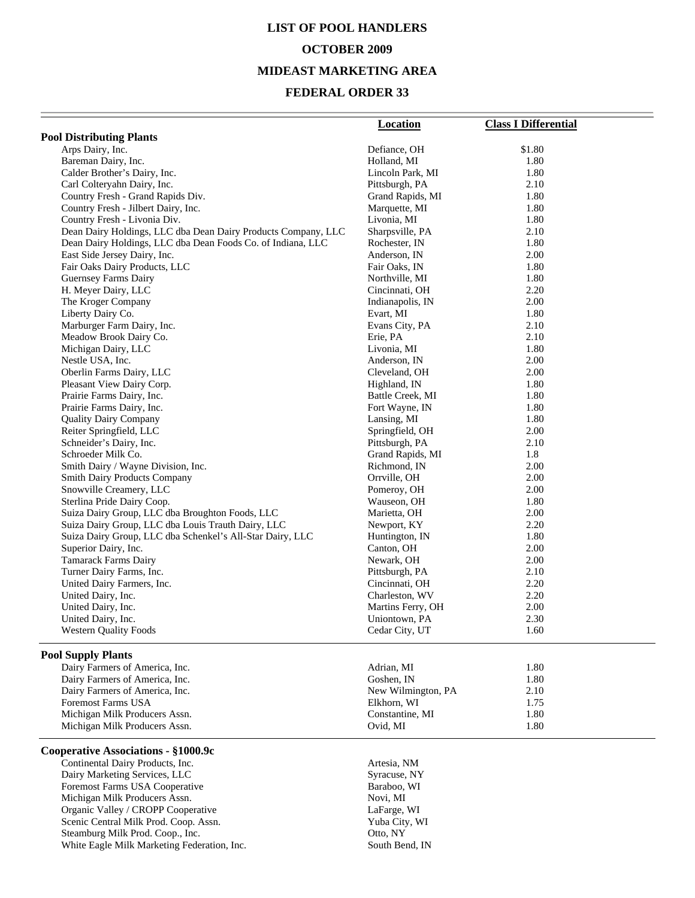## **LIST OF POOL HANDLERS OCTOBER 2009**

#### **MIDEAST MARKETING AREA**

## **FEDERAL ORDER 33**

|                                                               | <b>Location</b>                  | <b>Class I Differential</b> |
|---------------------------------------------------------------|----------------------------------|-----------------------------|
| <b>Pool Distributing Plants</b>                               |                                  |                             |
| Arps Dairy, Inc.                                              | Defiance, OH                     | \$1.80                      |
| Bareman Dairy, Inc.                                           | Holland, MI                      | 1.80                        |
| Calder Brother's Dairy, Inc.                                  | Lincoln Park, MI                 | 1.80                        |
| Carl Colteryahn Dairy, Inc.                                   | Pittsburgh, PA                   | 2.10                        |
| Country Fresh - Grand Rapids Div.                             | Grand Rapids, MI                 | 1.80                        |
| Country Fresh - Jilbert Dairy, Inc.                           | Marquette, MI                    | 1.80                        |
| Country Fresh - Livonia Div.                                  | Livonia, MI                      | 1.80                        |
| Dean Dairy Holdings, LLC dba Dean Dairy Products Company, LLC | Sharpsville, PA                  | 2.10                        |
| Dean Dairy Holdings, LLC dba Dean Foods Co. of Indiana, LLC   | Rochester, IN                    | 1.80                        |
| East Side Jersey Dairy, Inc.                                  | Anderson, IN                     | 2.00                        |
| Fair Oaks Dairy Products, LLC                                 | Fair Oaks, IN                    | 1.80                        |
| Guernsey Farms Dairy                                          | Northville, MI                   | 1.80                        |
| H. Meyer Dairy, LLC                                           | Cincinnati, OH                   | 2.20                        |
| The Kroger Company                                            | Indianapolis, IN                 | 2.00                        |
| Liberty Dairy Co.                                             | Evart, MI                        | 1.80                        |
| Marburger Farm Dairy, Inc.                                    | Evans City, PA                   | 2.10                        |
| Meadow Brook Dairy Co.                                        | Erie, PA                         | 2.10                        |
| Michigan Dairy, LLC                                           | Livonia, MI                      | 1.80                        |
| Nestle USA, Inc.                                              | Anderson, IN                     | 2.00                        |
| Oberlin Farms Dairy, LLC                                      | Cleveland, OH                    | 2.00                        |
| Pleasant View Dairy Corp.                                     | Highland, IN                     | 1.80                        |
| Prairie Farms Dairy, Inc.                                     | Battle Creek, MI                 | 1.80                        |
| Prairie Farms Dairy, Inc.                                     | Fort Wayne, IN                   | 1.80                        |
| <b>Quality Dairy Company</b>                                  | Lansing, MI                      | 1.80                        |
| Reiter Springfield, LLC                                       | Springfield, OH                  | 2.00                        |
| Schneider's Dairy, Inc.                                       | Pittsburgh, PA                   | 2.10                        |
| Schroeder Milk Co.                                            | Grand Rapids, MI                 | 1.8                         |
| Smith Dairy / Wayne Division, Inc.                            | Richmond, IN                     | 2.00                        |
| <b>Smith Dairy Products Company</b>                           | Orrville, OH                     | 2.00                        |
| Snowville Creamery, LLC                                       | Pomeroy, OH                      | 2.00                        |
| Sterlina Pride Dairy Coop.                                    | Wauseon, OH                      | 1.80                        |
| Suiza Dairy Group, LLC dba Broughton Foods, LLC               | Marietta, OH                     | 2.00                        |
| Suiza Dairy Group, LLC dba Louis Trauth Dairy, LLC            | Newport, KY                      | 2.20                        |
| Suiza Dairy Group, LLC dba Schenkel's All-Star Dairy, LLC     | Huntington, IN                   | 1.80                        |
| Superior Dairy, Inc.                                          | Canton, OH                       | 2.00                        |
| <b>Tamarack Farms Dairy</b>                                   | Newark, OH                       | 2.00                        |
| Turner Dairy Farms, Inc.                                      | Pittsburgh, PA<br>Cincinnati, OH | 2.10<br>2.20                |
| United Dairy Farmers, Inc.<br>United Dairy, Inc.              | Charleston, WV                   | 2.20                        |
| United Dairy, Inc.                                            | Martins Ferry, OH                | 2.00                        |
| United Dairy, Inc.                                            | Uniontown, PA                    | 2.30                        |
| <b>Western Quality Foods</b>                                  | Cedar City, UT                   | 1.60                        |
|                                                               |                                  |                             |
| <b>Pool Supply Plants</b>                                     |                                  |                             |
| Dairy Farmers of America, Inc.                                | Adrian, MI                       | 1.80                        |
| Dairy Farmers of America, Inc.                                | Goshen, IN                       | 1.80                        |
| Dairy Farmers of America, Inc.                                | New Wilmington, PA               | 2.10                        |
| <b>Foremost Farms USA</b>                                     | Elkhorn, WI                      | 1.75                        |
| Michigan Milk Producers Assn.                                 | Constantine, MI                  | 1.80                        |
| Michigan Milk Producers Assn.                                 | Ovid, MI                         | 1.80                        |
| Cooperative Associations - §1000.9c                           |                                  |                             |
| Continental Dairy Products, Inc.                              | Artesia, NM                      |                             |
|                                                               |                                  |                             |

Dairy Marketing Services, LLC<br>
Foremost Farms USA Cooperative Baraboo, WI<br>
Baraboo, WI Foremost Farms USA Cooperative Baraboo, Nichigan Milk Producers Assn. Novi, MI Michigan Milk Producers Assn.<br>
Organic Valley / CROPP Cooperative LaFarge, WI Organic Valley / CROPP Cooperative LaFarge, WI<br>Scenic Central Milk Prod. Coop. Assn. Yuba City, WI Scenic Central Milk Prod. Coop. Assn. Yuba City, Yuba City, Steamburg Milk Prod. Coop., Inc. 0tto, NY Steamburg Milk Prod. Coop., Inc. 6. Otto, NY<br>
White Eagle Milk Marketing Federation, Inc. 6. South Bend, IN White Eagle Milk Marketing Federation, Inc.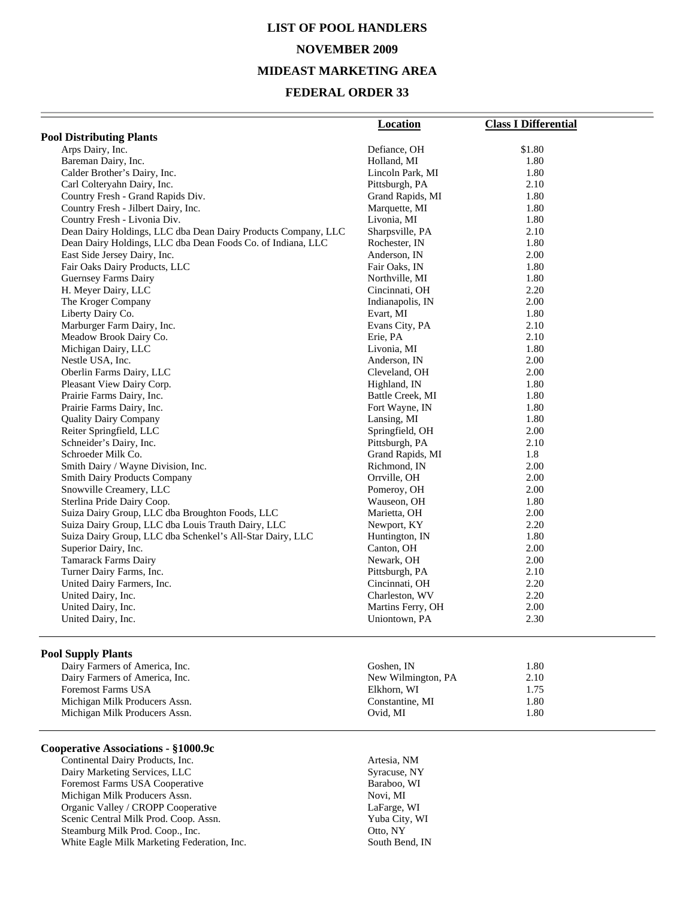# **LIST OF POOL HANDLERS NOVEMBER 2009 MIDEAST MARKETING AREA**

#### **FEDERAL ORDER 33**

|                                                               | <b>Location</b>   | <b>Class I Differential</b> |
|---------------------------------------------------------------|-------------------|-----------------------------|
| <b>Pool Distributing Plants</b>                               |                   |                             |
| Arps Dairy, Inc.                                              | Defiance, OH      | \$1.80                      |
| Bareman Dairy, Inc.                                           | Holland, MI       | 1.80                        |
| Calder Brother's Dairy, Inc.                                  | Lincoln Park, MI  | 1.80                        |
| Carl Colteryahn Dairy, Inc.                                   | Pittsburgh, PA    | 2.10                        |
| Country Fresh - Grand Rapids Div.                             | Grand Rapids, MI  | 1.80                        |
| Country Fresh - Jilbert Dairy, Inc.                           | Marquette, MI     | 1.80                        |
| Country Fresh - Livonia Div.                                  | Livonia, MI       | 1.80                        |
| Dean Dairy Holdings, LLC dba Dean Dairy Products Company, LLC | Sharpsville, PA   | 2.10                        |
| Dean Dairy Holdings, LLC dba Dean Foods Co. of Indiana, LLC   | Rochester, IN     | 1.80                        |
| East Side Jersey Dairy, Inc.                                  | Anderson, IN      | 2.00                        |
| Fair Oaks Dairy Products, LLC                                 | Fair Oaks, IN     | 1.80                        |
| <b>Guernsey Farms Dairy</b>                                   | Northville, MI    | 1.80                        |
| H. Meyer Dairy, LLC                                           | Cincinnati, OH    | 2.20                        |
| The Kroger Company                                            | Indianapolis, IN  | 2.00                        |
| Liberty Dairy Co.                                             | Evart, MI         | 1.80                        |
| Marburger Farm Dairy, Inc.                                    | Evans City, PA    | 2.10                        |
| Meadow Brook Dairy Co.                                        | Erie, PA          | 2.10                        |
| Michigan Dairy, LLC                                           | Livonia, MI       | 1.80                        |
| Nestle USA, Inc.                                              | Anderson, IN      | 2.00                        |
| Oberlin Farms Dairy, LLC                                      | Cleveland, OH     | 2.00                        |
| Pleasant View Dairy Corp.                                     | Highland, IN      | 1.80                        |
| Prairie Farms Dairy, Inc.                                     | Battle Creek, MI  | 1.80                        |
| Prairie Farms Dairy, Inc.                                     | Fort Wayne, IN    | 1.80                        |
| <b>Quality Dairy Company</b>                                  | Lansing, MI       | 1.80                        |
| Reiter Springfield, LLC                                       | Springfield, OH   | 2.00                        |
| Schneider's Dairy, Inc.                                       | Pittsburgh, PA    | 2.10                        |
| Schroeder Milk Co.                                            | Grand Rapids, MI  | 1.8                         |
| Smith Dairy / Wayne Division, Inc.                            | Richmond, IN      | 2.00                        |
| <b>Smith Dairy Products Company</b>                           | Orrville, OH      | 2.00                        |
| Snowville Creamery, LLC                                       | Pomeroy, OH       | 2.00                        |
| Sterlina Pride Dairy Coop.                                    | Wauseon, OH       | 1.80                        |
| Suiza Dairy Group, LLC dba Broughton Foods, LLC               | Marietta, OH      | 2.00                        |
| Suiza Dairy Group, LLC dba Louis Trauth Dairy, LLC            | Newport, KY       | 2.20                        |
| Suiza Dairy Group, LLC dba Schenkel's All-Star Dairy, LLC     | Huntington, IN    | 1.80                        |
| Superior Dairy, Inc.                                          | Canton, OH        | 2.00                        |
| <b>Tamarack Farms Dairy</b>                                   | Newark, OH        | 2.00                        |
| Turner Dairy Farms, Inc.                                      | Pittsburgh, PA    | 2.10                        |
| United Dairy Farmers, Inc.                                    | Cincinnati, OH    | 2.20                        |
| United Dairy, Inc.                                            | Charleston, WV    | 2.20                        |
| United Dairy, Inc.                                            | Martins Ferry, OH | 2.00                        |
| United Dairy, Inc.                                            | Uniontown, PA     | 2.30                        |
|                                                               |                   |                             |

#### **Pool Supply Plants**

Dairy Farmers of America, Inc. Dairy Farmers of America, Inc. Foremost Farms USA Michigan Milk Producers Assn. Michigan Milk Producers Assn.

#### **Cooperative Associations - §1000.9c**

Continental Dairy Products, Inc. 47 (2012) Artesia, NM Dairy Marketing Services, LLC Syracuse, NY Foremost Farms USA Cooperative Baraboo, WI Michigan Milk Producers Assn. Novi, MI<br>
Organic Valley / CROPP Cooperative LaFarge, WI Organic Valley / CROPP Cooperative LaFarge, WI<br>
Scenic Central Milk Prod. Coop. Assn. Vuba City, WI Scenic Central Milk Prod. Coop. Assn. Yuba City, Yuba City, Steamburg Milk Prod. Coop., Inc. (2007) Steamburg Milk Prod. Coop., Inc. 6. Otto, NY<br>
White Eagle Milk Marketing Federation, Inc. 6. South Bend, IN White Eagle Milk Marketing Federation, Inc.

| Goshen. IN         | 1.80 |
|--------------------|------|
| New Wilmington, PA | 2.10 |
| Elkhorn, WI        | 1.75 |
| Constantine, MI    | 1.80 |
| Ovid. MI           | 1.80 |
|                    |      |